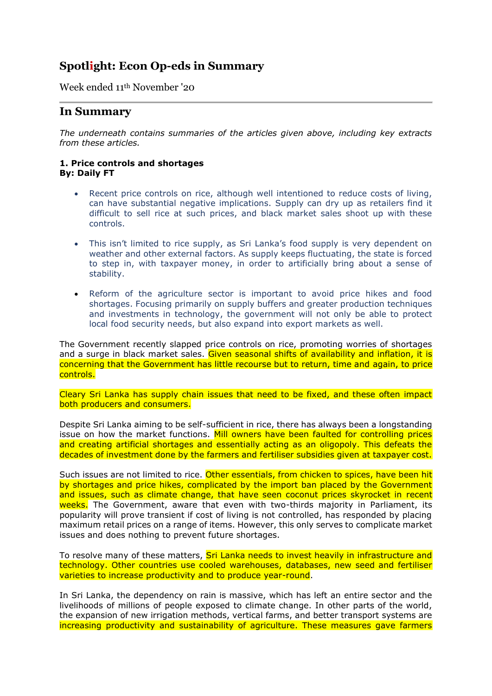## **Spotlight: Econ Op-eds in Summary**

Week ended 11th November '20

## **In Summary**

*The underneath contains summaries of the articles given above, including key extracts from these articles.*

## **1. Price controls and shortages By: Daily FT**

- Recent price controls on rice, although well intentioned to reduce costs of living, can have substantial negative implications. Supply can dry up as retailers find it difficult to sell rice at such prices, and black market sales shoot up with these controls.
- This isn't limited to rice supply, as Sri Lanka's food supply is very dependent on weather and other external factors. As supply keeps fluctuating, the state is forced to step in, with taxpayer money, in order to artificially bring about a sense of stability.
- Reform of the agriculture sector is important to avoid price hikes and food shortages. Focusing primarily on supply buffers and greater production techniques and investments in technology, the government will not only be able to protect local food security needs, but also expand into export markets as well.

The Government recently slapped price controls on rice, promoting worries of shortages and a surge in black market sales. Given seasonal shifts of availability and inflation, it is concerning that the Government has little recourse but to return, time and again, to price controls.

Cleary Sri Lanka has supply chain issues that need to be fixed, and these often impact both producers and consumers.

Despite Sri Lanka aiming to be self-sufficient in rice, there has always been a longstanding issue on how the market functions. Mill owners have been faulted for controlling prices and creating artificial shortages and essentially acting as an oligopoly. This defeats the decades of investment done by the farmers and fertiliser subsidies given at taxpayer cost.

Such issues are not limited to rice. Other essentials, from chicken to spices, have been hit by shortages and price hikes, complicated by the import ban placed by the Government and issues, such as climate change, that have seen coconut prices skyrocket in recent weeks. The Government, aware that even with two-thirds majority in Parliament, its popularity will prove transient if cost of living is not controlled, has responded by placing maximum retail prices on a range of items. However, this only serves to complicate market issues and does nothing to prevent future shortages.

To resolve many of these matters, Sri Lanka needs to invest heavily in infrastructure and technology. Other countries use cooled warehouses, databases, new seed and fertiliser varieties to increase productivity and to produce year-round.

In Sri Lanka, the dependency on rain is massive, which has left an entire sector and the livelihoods of millions of people exposed to climate change. In other parts of the world, the expansion of new irrigation methods, vertical farms, and better transport systems are increasing productivity and sustainability of agriculture. These measures gave farmers